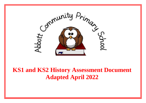

**KS1 and KS2 History Assessment Document Adapted April 2022**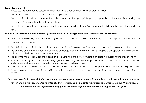#### **Using this document:**

- Please use this guidance to assess each individual child's achievement within all areas of history.
- This should also be used as a tool, to inform your planning.
- The aim is for **all** children to **master** the objectives within the appropriate year group, whilst at the same time, having the opportunity for **deeper learning** within these key areas.
- These planned opportunities will enable you to effectively assess the children's achievements, at different points of the academic year.

#### **We aim for all children to acquire the ability to implement the following fundamental characteristics of historians:**

- An excellent knowledge and understanding of people, events and contexts from a range of historical periods and of historical concepts and processes.
- The ability to think critically about history and communicate ideas very confidently in styles appropriate to a range of audiences.
- The ability to consistently support, evaluate and challenge their own and others' views using detailed, appropriate and accurate historical events derived from a range of sources.
- The ability to think, reflect, debate, discuss and evaluate from the past, formulating and refining questions and lines of enquiry.
- A passion for history and an enthusiastic engagement in learning, which develops their sense of curiosity about the past and their understanding of how and why people interpret the past in different ways.
- A respect for historical evidence and the ability to make robust and critical use of it to support their explanations and judgements.
- A desire to embrace challenging activities, including opportunities to undertake high-quality research across a range of history topics.

### *The learning objectives are stated per year group, using the progressive assessment vocabulary from the overall progression map overleaf. Please use your knowledge of the children to decide upon a 'best fit' judgement as to whether the pupil has achieved and embedded the expected learning goals, exceeded expectations or is still working towards the goals.*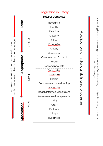### **Progression in History**

subject vocabulary, historical terms and language Increasingly confident and appropriate use of

Basic

Specialised



Application of historical skills and processes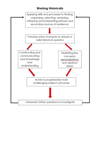### **Working Historically**

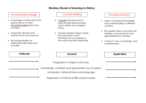### **Mastery Model of learning in History**

### Procedural Knowledge

- Knowledge constructed in the ٠ performance of often decontextualised tasks and activities
- Frequently discrete and ٠ isolated facts and methods
- Recall dependent on replicating initial tasks and activities

#### **Concept Building**

- Organise discrete facts to build the big historical ideas, which define and underpin History
- General abstract ideas create the framework, which historians use to understand the world and think historically

#### **Procedural Fluency**

- Apply conceptual knowledge and understanding to different contexts
- Recognise where one particular strategy or procedure is more appropriate than another
- Construct new knowledge and understanding

| Particular | General                                                                                            | Application |
|------------|----------------------------------------------------------------------------------------------------|-------------|
|            | Progression in subject outcomes                                                                    |             |
|            | Increasingly confident and appropriate use of subject<br>vocabulary, historical terms and language |             |
|            | Application of historical skills and processes                                                     |             |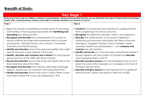# **Breadth of Study:**

| <b>Key Stage 1</b>                                                                                                                                                                                                                                                                                                                                                                                                                                                                                                                                                                                                                                                                                                                                                                                                                                                                                                                                                                                                                                 |                                                                                                                                                                                                                                                                                                                                                                                                                                                                                                                                                                                                                                                                                                                                                                                                                                                                                                                                        |  |  |
|----------------------------------------------------------------------------------------------------------------------------------------------------------------------------------------------------------------------------------------------------------------------------------------------------------------------------------------------------------------------------------------------------------------------------------------------------------------------------------------------------------------------------------------------------------------------------------------------------------------------------------------------------------------------------------------------------------------------------------------------------------------------------------------------------------------------------------------------------------------------------------------------------------------------------------------------------------------------------------------------------------------------------------------------------|----------------------------------------------------------------------------------------------------------------------------------------------------------------------------------------------------------------------------------------------------------------------------------------------------------------------------------------------------------------------------------------------------------------------------------------------------------------------------------------------------------------------------------------------------------------------------------------------------------------------------------------------------------------------------------------------------------------------------------------------------------------------------------------------------------------------------------------------------------------------------------------------------------------------------------------|--|--|
| By the end of each year our children, working as young historians, will have demonstrated that they can use effectively the range of simple historical techniques,<br>enquiry skills, contemporaneous evidence and subject vocabulary detailed in our schemes of work to:                                                                                                                                                                                                                                                                                                                                                                                                                                                                                                                                                                                                                                                                                                                                                                          |                                                                                                                                                                                                                                                                                                                                                                                                                                                                                                                                                                                                                                                                                                                                                                                                                                                                                                                                        |  |  |
| Year 1<br>Year <sub>2</sub><br>• Begin the process of establishing a simple sense of chronology<br>and mastery of the language associated with <b>identifying and</b><br><b>describing</b> the passing of time;<br>• Recognise and describe the achievements of a number of<br>famous national and international explorers both in the past<br>and recently – Ranulph Fiennes, Amy Johnson, Christopher<br>Columbas and Neil Armstrong;<br>• Identify and describe some of the personal qualities they might<br>need to become a Mars explorer in the future;<br>• Identify, describe and compare and contrast the most popular<br>games and toys of the 1960s with those of today;<br>• Record and describe some of the things that adults alive at the<br>time remember about the 1960s;<br>• Recognise and describe how animals, particularly messenger<br>pigeons, played such an important role during World War I;<br>• Identify and describe some of the ways a child in Britain would<br>have been aware that a war was happening in 1916. | • Construct uncomplicated oral narratives by working forward<br>from a beginning to an end or outcome;<br>• <b>Recognise</b> the distinction between 'history' and 'prehistory';<br>• Describe the achievements of a number of significant<br>individuals and the events associated with them in the past -<br>Hatshepsut, Margaret Thatcher, Grace O'Malley, Malala<br>Yousafzai, Marie Curie and Elizabeth I – and compare and<br><b>contrast</b> one with another;<br>• Identify and locate on a map the area of the Roman Empire in<br>Europe together with the location of Pompeii and <b>describe</b><br>what happened there in AD 79;<br>• Describe and give reasons why archaeologists know so much<br>about the ways of life of people such as Sappho who lived at<br>Pompeii in Roman times;<br>• Describe and give reasons for the importance of a significant<br>historical event, person and place in their own locality. |  |  |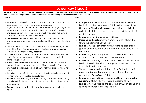# **Lower Key Stage 2**

**By the end of each year our children, working as young historians, will have demonstrated that they can use effectively the range of simple historical techniques, enquiry skills, contemporaneous evidence and subject vocabulary detailed in our schemes of work to:**

#### **Year 3**

- **Recognise** how historical events are caused by other important past events and in turn have their own consequences;
- Begin the construction of a simple timeline from the beginning of the Stone Age in Britain to the arrival of the Normans in 1066 **identifying and describing** events in the order in which they occurred using a pre-existing scale of equidistant intervals;
- **.** Describe and explain in basic terms some of the clues that help archaeologists reconstruct how people might have lived in the Stone Age;
- **Contrast** the ways in which most people in Britain were living at the end of the Stone Age **compared** with the beginning and **explain** some of the differences they **observe**;
- **Explain** why the discovery of the Amesbury Archer dating from the beginning of the Bronze Age in Britain was such an important archaeological find;
- **Identify, describe and compare and contrast** the many different types of stone monuments created in Britain during the Bronze Age and **reach a simple judgement** about what their purpose might have been;
- **Describe** the main features of Iron Age hill forts and **offer reasons** why so many were constructed across Britain;
- **Explain** why archaeologists believe Iron Age people made so many beautiful artefacts only to then throw them into rivers or bury them underground;
- **Explain** how we know that life wasn't always peaceful in the Iron Age?

#### **Year 4**

- Complete the construction of a simple timeline from the beginning of the Stone Age in Britain to the arrival of the Normans in 1066 **identifying and describing** events in the order in which they occurred using a pre-existing scale of equidistant intervals;
- **Explain** why the Romans invaded Britain;
- **Describe and explain** why we know so much about the towns the Romans built in Britain;
- **Explain** why the Romans in Britain organised gladiatorial games and why such events were not always popular with everyone;
- **Explain** why Boudicca presented such a threat to the Romans that they almost lost control of Britain;
- **Explain** who the Anglo Saxons were and why they chose to live in villages in the British countryside rather than in the towns that the Romans built;
- Through **evaluating** the artefacts of the Sutton Hoo burial **reach a judgement** about what the different items tell us about life in Anglo Saxon Britain;
- **Explain** why Viking Norsemen invaded Britain and **reach a judgement** about why they were desperate to stay;
- **Explain** why King Alfred is the only King or Queen of England to have 'the Great' after their name.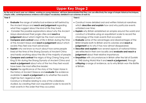# **Upper Key Stage 2**

**By the end of each year our children, working as young historians, will have demonstrated that they can use effectively the range of simple historical techniques, enquiry skills, contemporaneous evidence and subject vocabulary detailed in our schemes of work to:**

#### **Year 5**

- **Evaluate** the range of artefactual evidence left behind by the Ancient Maya and **reach and judgement** regarding what they suggest about the kind of life they lived;
- Consider the possible explanations about why the Ancient Maya abandoned their jungle cities and **reach a judgement** about which might be the most convincing;
- **Compare and contrast** ways of life in Britain during the time of the Ancient Maya and **reach a judgement** about which society they feel was most advanced;
- **Explain** why we know so much about how some people lived at the time of the Shang Dynasty of Ancient China and hardly anything about the life of the majority of people;
- **Compare and contrast** the reigns of King Cheng Tang and King Di Xin during the Shang Dynasty of Ancient China and **reach a judgement** about who of the two they feel would have been the most effective leader;
- **Explain** the significance of the story of the Trojan Horse in the history of Ancient Greece and **evaluate** the evidence available to **reach a judgement** as to whether the events might be fact, legend or myth;

 Construct a timeline relating to one of the civilizations studied, by creating their own equidistant scale to record its main events in the order that they occurred.

#### **Year 6**

- Construct more detailed oral and written historical narratives which **describe and explain** how and why particular events unfolded over time;
- **Explain** why Britain established an empire around the world and construct a timeline using an equidistant scale to record the chronology of the main events that occurred;
- **Evaluate** some of the advantages and disadvantages of the British Empire both to Britain and its colonies and **reach a judgement** as to why it has now almost disappeared;
- **Describe and explain** how several aspects of national history are reflected in their own locality and **evaluate and reach a judgement** about their relative importance;
- **Empathise** with circumstances in Britain after the fall of Dunkirk in 1940 during World War II and **reach a judgement,** through **critiquing** a range of evidence, as to why Britain won the Battle of Britain.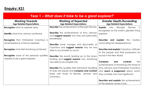# **Enquiry: KS1**

| Year 1 – What does it take to be a great explorer?                                |                                                                                                        |                                                                                                    |  |
|-----------------------------------------------------------------------------------|--------------------------------------------------------------------------------------------------------|----------------------------------------------------------------------------------------------------|--|
| <b>Working Towards</b><br><b>Age Related Expectations</b>                         | <b>Working at Expected</b><br><b>Age Related Expectations</b>                                          | <b>Greater Depth/Exceeding</b><br><b>Age Related Expectations</b>                                  |  |
| <b>Recognise</b> what an explorer does;                                           | <b>Describe</b> the achievements of Ranulph Fiennes;                                                   | <b>Explain</b><br>why Ranulph<br><b>Fiennes</b><br>is<br>recognised as the world's greatest living |  |
| <b>Identify</b> what Amy Johnson achieved;                                        | <b>Describe</b> the achievements of Amy Johnson<br>and suggest reasons why they are particularly       | explorer;                                                                                          |  |
| <b>Recognise</b> that Christopher Columbus is<br>remembered as a famous explorer; | remarkable;                                                                                            | <b>Describe and explain</b> the mystery<br>surrounding her disappearance;                          |  |
|                                                                                   | <b>Describe</b> some voyages and discoveries of<br>Columbus and suggest reasons why he was             |                                                                                                    |  |
| <b>Recognise</b> what Neil Armstrong achieved;                                    | able to accomplish so much;                                                                            | Describe and explain Columbus' attitude<br>to the people and their possessions he                  |  |
| <b>Recognise</b> some of the personal qualities<br>needed to be a great explorer. | <b>Describe</b> the events leading up to the Moon<br>landing and suggest reasons why Armstrong         | found in the New World;                                                                            |  |
|                                                                                   | was able to accomplish this;                                                                           | contrast<br>Compare<br>the<br>and<br>achievements of Armstrong with those of                       |  |
|                                                                                   | <b>Describe</b> the qualities that astronauts travelling                                               | Amy Johnson and Christopher Columbus                                                               |  |
|                                                                                   | to Mars will require and compare and contrast<br>these with those of Fiennes, Johnson and<br>Columbus. | and reach a judgement about which<br>they consider was most significant;                           |  |
|                                                                                   |                                                                                                        | Describe and explain the achievements                                                              |  |
|                                                                                   |                                                                                                        | of the explorer James Cook.                                                                        |  |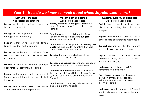| Year 1 – How do we know so much about where Sappho used to live?                                             |                                                                                                                                                                                                |                                                                                                                                  |  |  |
|--------------------------------------------------------------------------------------------------------------|------------------------------------------------------------------------------------------------------------------------------------------------------------------------------------------------|----------------------------------------------------------------------------------------------------------------------------------|--|--|
| <b>Working Towards</b><br><b>Age Related Expectations</b>                                                    | <b>Working at Expected</b><br><b>Age Related Expectations</b>                                                                                                                                  | <b>Greater Depth/Exceeding</b><br><b>Age Related Expectations</b>                                                                |  |  |
| Recognise that Pompeii was once an<br>important Roman city;                                                  | Identify, describe and suggest reasons for<br>some of the ways in which people lived in<br>Pompeii;                                                                                            | <b>Explain</b> how archaeologists have gone<br>about reconstructing the buildings of<br>Pompeii;                                 |  |  |
| <b>Recognise</b> that Sappho was a wealthy<br>teenager living in Pompeii;                                    | <b>Describe</b> what a typical day in the life of<br>Sappho might have been and suggest<br>reasons why we know this;                                                                           | <b>Explain</b> why she was able to live a<br>privileged life compared to most people;                                            |  |  |
| <b>Recognise</b> that at its height the Roman<br>Empire included most of Europe;                             | Describe what an 'empire' is and identify and<br><b>locate</b> the modern-day countries that were<br>once part of the Roman Empire;                                                            | <b>Suggest reasons</b> for why the Romans<br>were able to conquer such a large area;                                             |  |  |
| <b>Recognise</b> that Pompeii is overlooked by a<br>volcano called Vesuvius and the danger<br>this presents; | <b>Describe</b> the causes and effects of the<br>eruption of Vesuvius in AD 79;                                                                                                                | <b>Explain</b> how the actions of many people<br>before and during the eruption put them                                         |  |  |
| <b>Identify</b> a range of different artefacts<br>discovered in excavations at Pompeii;                      | Describe and suggest reasons how a range of<br>smaller artefacts would have been used;<br><b>Compare and contrast the trustworthiness of</b><br>the account of Pliny with that of the painting | in additional danger;<br><b>Understand</b> what it means to infer<br>something from evidence;                                    |  |  |
| <b>Recognise</b> that some people who were at<br>Pompeii wrote first-hand accounts of what<br>happened;      | by Briulov as evidence of what occurred at<br>Pompeii;<br><b>Describe</b> how archaeologists have created                                                                                      | Describe and explain the difference<br>between primary and secondary<br>evidence when trying to understand<br>events at Pompeii; |  |  |
| <b>Recognise</b> how the shape of many people<br>who died at Pompeii was preserved.                          | plaster casts of their bodies.                                                                                                                                                                 | <b>Understand</b> why the remains of Pompeii<br>went undiscovered for over a thousand<br>years.                                  |  |  |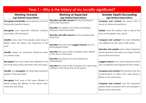| Year 1 – Why is the history of my locality significant?                                                                         |                                                                                                                                                                                |                                                                                                                                |  |
|---------------------------------------------------------------------------------------------------------------------------------|--------------------------------------------------------------------------------------------------------------------------------------------------------------------------------|--------------------------------------------------------------------------------------------------------------------------------|--|
| <b>Working Towards</b><br><b>Age Related Expectations</b>                                                                       | <b>Working at Expected</b><br><b>Age Related Expectations</b>                                                                                                                  | <b>Greater Depth/Exceeding</b><br><b>Age Related Expectations</b>                                                              |  |
| Recognise and identify some features of a local<br>historically important place;                                                | Describe and offer reasons for why this place is<br>historically important;                                                                                                    | Compare and contrast this place with a<br>place of national importance;                                                        |  |
| <b>Recognise</b> one important historical artefact<br>associated with this place;                                               | <b>Describe</b> the artefact and what its probable<br>purpose would have been;<br>Describe and offer reasons for how people were<br>living then;                               | <b>Explain</b> what this artefact tells us about the<br>lives of the people who used it;                                       |  |
| <b>Identify</b> some ways that people were living in<br>Britain when this place was important in the<br>past;                   | Describe the event and suggest reasons why it is<br>remembered today;                                                                                                          | <b>Compare and contrast the main similarities</b><br>and differences with ways of life today;                                  |  |
| Identify where an important historical event<br>occurred locally;                                                               | <b>Describe</b> the ways of life of people living in Britain<br>at the time of the event;                                                                                      | Describe and explain some other important<br>historical events that were occurring in the UK<br>around the same time;          |  |
| <b>Recognise</b> that ways of life were different in the<br>UK at the time of this event than they are today;                   | <b>Describe</b> the reasons why this individual is<br>remembered;<br><b>Describe</b> the ways of life of people who were living<br>in Britain at the same time as this person. | <b>Suggest reasons</b> why some historical events<br>are considered more significant than others;                              |  |
| <b>Identify</b> and <b>recognise</b> an historically important<br>person in the local area;                                     |                                                                                                                                                                                | <b>Compare and contrast this individual with the</b><br>achievements of others who were living in<br>Britain at the same time; |  |
| <b>Recognise</b> that ways of life were different in<br>Britain during the lifetime of this person from<br>what they are today. |                                                                                                                                                                                | <b>Compare and contrast how this important</b><br>person lived compared with most people in<br>Britain at the same time.       |  |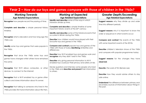## **Year 2 –** *How do our toys and games compare with those of children in the 1960s?*

| <b>Working Towards</b><br><b>Age Related Expectations</b>                                                                                                               | <b>Working at Expected</b><br><b>Age Related Expectations</b>                                                                                                             | <b>Greater Depth/Exceeding</b><br><b>Age Related Expectations</b>                                                     |
|-------------------------------------------------------------------------------------------------------------------------------------------------------------------------|---------------------------------------------------------------------------------------------------------------------------------------------------------------------------|-----------------------------------------------------------------------------------------------------------------------|
| <b>Recognise</b> how people record the passing of time;                                                                                                                 | Identify and describe some of the ways in which<br>historians divide up time;                                                                                             | Suggest reasons why they divide up and order<br>time into different periods;                                          |
| Complete and describe a simple personal history<br>timeline;                                                                                                            | Complete and describe a simple timeline of some<br>important historic events of the 20 <sup>th</sup> century;<br>Identify and describe some of the historical events that | Suggest reasons why it is important to know the<br>order or sequence in which events occur;                           |
| <b>Recognise</b> what a decade is and how long ago the<br>1960s was;                                                                                                    | occurred in Britain during the 1960s;<br><b>Describe</b> how children would have played with their<br>favourite toys and games in the 1960s;                              | <b>Compare and contrast</b> the events of the 1960s                                                                   |
| Identify some toys and games that were popular in<br>the 1960s;                                                                                                         | <b>Compare and contrast</b> popular toys and games of the<br>1960s with those of today identifying similarities and<br>differences;                                       | with some important events of the 2010s;<br><b>Describe</b> children's television shows of the 1960s                  |
| <b>Recognise</b> that since the 1960s some toys and<br>games have changed whilst others have remained                                                                   | <b>Describe</b> how Wi-Fi enabled toys and games work and<br>recognise why they didn't exist in the 1960s;<br><b>Describe</b> why giving personal information to Wi-Fi    | and compare with popular programmes today;<br>Suggest reasons for the changes they have                               |
| the same;                                                                                                                                                               | enabled toys could put their privacy and safety at risk;<br>Devise questions and interview some people who lived                                                          | observed:                                                                                                             |
| <b>Recognise</b> that Wi-Fi allows computers, or other<br>devices, to connect to the Internet;                                                                          | in the 1960s and describe and present their information<br>to others.                                                                                                     | <b>Describe</b> the work of Tim Berners-Lee;                                                                          |
|                                                                                                                                                                         |                                                                                                                                                                           | <b>Describe</b> how they would advise others to stay                                                                  |
| <b>Recognise</b> that a Wi-Fi enabled toy or game often                                                                                                                 |                                                                                                                                                                           | safe online;                                                                                                          |
| collects and stores information about its owner;<br><b>Recognise</b> that talking to someone who lived in the<br>1960s provides first-hand information about life then. |                                                                                                                                                                           | <b>Understand</b> the difference between primary and<br>secondary sources of information about things in<br>the past. |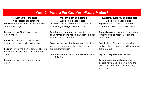| <b>Year 2 – Who is the Greatest History Maker?</b>                                                                                                                                      |                                                                                                                              |                                                                                                                                      |  |
|-----------------------------------------------------------------------------------------------------------------------------------------------------------------------------------------|------------------------------------------------------------------------------------------------------------------------------|--------------------------------------------------------------------------------------------------------------------------------------|--|
| <b>Working Towards</b><br><b>Age Related Expectations</b>                                                                                                                               | <b>Working at Expected</b><br><b>Age Related Expectations</b>                                                                | <b>Greater Depth/Exceeding</b><br><b>Age Related Expectations</b>                                                                    |  |
| <b>Identify</b> the person most associated with<br>Guy Fawkes Night;                                                                                                                    | <b>Describe</b> what is commemorated on Guy<br>Fawkes Night; Suggest reasons for this;                                       | <b>Explain</b> the difference between a<br>commemoration and a celebration;                                                          |  |
| <b>Recognise</b> that Guy Fawkes is seen as a<br>history maker;                                                                                                                         | <b>Describe</b> and <b>compare</b> their relative<br>achievements; and reach a judgement about<br>their relative importance; | Suggest reasons why some people are<br>remembered as history makers and<br>others not;                                               |  |
| <b>Identify</b> six people who are all seen as<br>having made history during their lives;<br><b>Recognise</b> that the achievements of some<br>history makers are more significant than | Compare and reach a judgement about the<br>relative importance of the achievements of<br>the six history makers;             | <b>Explain</b> the difference between history<br>makers who are famous and those who<br>are infamous;                                |  |
| others;                                                                                                                                                                                 | <b>Describe</b> how they would like to make history<br>in their lifetime.                                                    | <b>Explain</b> and justify their decision;                                                                                           |  |
| <b>Recognise</b> that everyone can make<br>history.                                                                                                                                     |                                                                                                                              | Describe and suggest reasons for how<br>people have made history during the<br>past six or seven years i.e. since they<br>were born. |  |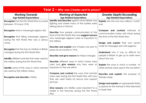| Year 2 - Why was Charles sent to prison?                                                                                                     |                                                                                                                                                                  |                                                                                                                     |  |
|----------------------------------------------------------------------------------------------------------------------------------------------|------------------------------------------------------------------------------------------------------------------------------------------------------------------|---------------------------------------------------------------------------------------------------------------------|--|
| <b>Working Towards</b><br><b>Age Related Expectations</b>                                                                                    | <b>Working at Expected</b><br><b>Age Related Expectations</b>                                                                                                    | <b>Greater Depth/Exceeding</b><br><b>Age Related Expectations</b>                                                   |  |
| <b>Recognise</b> that the First World War occurred<br>between 1914 and 1918;                                                                 | Identify and describe against whom Britain was<br>fighting and where many of the battles were<br>taking place in France;                                         | <b>Explain</b> why the war was called a 'world'<br>war;                                                             |  |
| <b>Recognise</b> what a messenger pigeon did;<br><b>Recognise</b> that killing messenger pigeons<br>during the First World War was a serious | <b>Describe</b> how people communicated at the<br>time of the First World War and suggest reasons<br>why messenger pigeons were so important to<br>the military; | <b>Compare and contrast</b> methods of<br>communication today with those during<br>the time of the First World War; |  |
| crime;<br><b>Recognise</b> that the lives of children in Britain                                                                             | <b>Describe and explain</b> why Charles was sent to                                                                                                              | Design and explain their own secret<br>code for messages sent with pigeons;                                         |  |
| changed during the First World War;                                                                                                          | prison for six months in 1916;<br>Describe and give reasons for these changes;                                                                                   | <b>Understand</b> why it was so difficult for<br>people in Britain to get up to date news                           |  |
| <b>Identify</b> different animals that were used by<br>the military during the First World War;                                              | <b>Describe</b> different ways in which horses were<br>used and give reasons why they were so                                                                    | about the war;<br><b>Explain</b> the ways in which a number of                                                      |  |
| <b>Identify</b> some of the ways in which animals<br>are used by the military today;                                                         | important to the war effort;<br><b>Compare and contrast</b> the ways that animals                                                                                | other animals were used in the war effort;                                                                          |  |
| Recognise and describe a firefly.                                                                                                            | were used during the First World War with how<br>they are used today by rescue and support                                                                       | <b>Describe and explain</b> the purpose of<br>therapy dogs;                                                         |  |
|                                                                                                                                              | services;<br>Give reasons why fireflies were important to a<br>soldier in the trenches during the First World<br>War.                                            | Design and explain an appropriate firefly<br>sculpture for the Animals in War Memorial<br>in Hyde Park.             |  |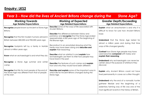# **Enquiry: LKS2**

|                                                                                                                              | Year 3 - How did the lives of Ancient Britons change during the                                                                                                                 | <b>Stone Age?</b>                                                                                                                                                                                    |
|------------------------------------------------------------------------------------------------------------------------------|---------------------------------------------------------------------------------------------------------------------------------------------------------------------------------|------------------------------------------------------------------------------------------------------------------------------------------------------------------------------------------------------|
| <b>Working Towards</b><br><b>Age Related Expectations</b>                                                                    | <b>Working at Expected</b><br><b>Age Related Expectations</b>                                                                                                                   | <b>Greater Depth/Exceeding</b><br><b>Age Related Expectations</b>                                                                                                                                    |
| Recognise people known as Ancient or Stone Age<br>Britons;                                                                   | <b>Describe</b> some of the ways of life associated with<br><b>Ancient Britons:</b>                                                                                             | <b>Explain</b> what an anachronism is and why it is<br>difficult to know for sure how Ancient Britons                                                                                                |
| <b>Recognise</b> that the first modern humans arrived in<br>Britain between 850,000 and 950,000 years ago;                   | <b>Describe</b> the difference between history and<br>prehistory and recognise that the Stone Age ended<br>approximately 4,500 years ago at the beginning of<br>the Bronze Age; | lived;<br><b>Understand</b> that the Stone Age lasted for<br>almost a million years and during that time                                                                                             |
| <b>Recognise</b> footprints left by a family in Norfolk<br>almost a million years ago;                                       | Reconstruct in an annotated drawing what the<br>family may have been doing and describe and<br>explain their reasoning;                                                         | ways of life changed greatly;                                                                                                                                                                        |
| Know what an archaeologist is and what they do;                                                                              | Describe what an artefact is and explain how<br>archaeologists use them to infer how people may<br>have lived in the past;                                                      | <b>Contrast</b> how Stone Age people may have<br>used beaches compared with today and<br>explain their reasoning;                                                                                    |
| <b>Recognise</b> a Stone Age summer and winter<br>camp;                                                                      | Describe the features of such camps and explain<br>how and why they would have been different;                                                                                  | <b>Understand</b> why archaeologists can never be<br>certain about the purpose of artefacts they<br>discover;                                                                                        |
| <b>Recognise</b> that life for most people at the end of<br>the Stone Age was different from that of people<br>at the start. | <b>Describe and explain</b> some of the important ways in<br>which life for Ancient Britons changed during the<br>Stone Age.                                                    | <b>Explain</b> why Ancient Britons could not have<br>lived permanently in caves as is often thought;                                                                                                 |
|                                                                                                                              |                                                                                                                                                                                 | <b>Understand</b> why the end of a nomadic hunter<br>gatherer lifestyle and the beginning of a<br>sedentary farming way of life was one of the<br>most significant events in the history of Britain. |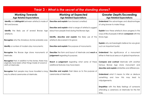| Year 3 - What is the secret of the standing stones?         |                                                               |                                                                   |  |
|-------------------------------------------------------------|---------------------------------------------------------------|-------------------------------------------------------------------|--|
| <b>Working Towards</b><br><b>Age Related Expectations</b>   | <b>Working at Expected</b><br><b>Age Related Expectations</b> | <b>Greater Depth/Exceeding</b><br><b>Age Related Expectations</b> |  |
| Identify and distinguish between artefacts made of          | Describe and explain how bronze is smelted;                   | <b>Understand</b> the advantages and disadvantages                |  |
| flint and bronze;                                           |                                                               | of using bronze to make things;                                   |  |
|                                                             | Describe and explain what a range of artefacts suggest        |                                                                   |  |
| Identify the likely use of several Bronze Age               | about how people lived during the Bronze Age;                 | Explain how these artefacts show progress in the                  |  |
| artefacts;                                                  |                                                               | ways of life of people in Britain compared with the               |  |
|                                                             | Identify, describe and explain the likely use of the          | Stone Age;                                                        |  |
| <b>Recognise</b> who the Amesbury Archer probably was;      | artefacts discovered in his grave;                            |                                                                   |  |
|                                                             |                                                               | <b>Explain</b> why archaeologists believe he was given            |  |
| Identify a number of modern-day monuments;                  | Describe and explain the purpose of monuments;                | such an important burial;                                         |  |
|                                                             |                                                               |                                                                   |  |
| <b>Recognise</b> the Bronze Age stone monuments at          | <b>Describe</b> the form and layout of Merrivale and reach a  | <b>Understand</b> the significance of a monument                  |  |
| Merrivale;                                                  | judgement regarding its purpose;                              | either in their local area or of global importance;               |  |
| <b>Recognise</b> that, in addition to the stones, there may |                                                               |                                                                   |  |
| originally have been other things made of wood or           | Reach a judgement regarding what some of these                | Compare and contrast Merrivale with another                       |  |
| cloth at Merrivale;                                         | additional features may have been;                            | famous Bronze Age stone monument and                              |  |
|                                                             |                                                               | describe and explain similarities and differences;                |  |
| <b>Recognise</b> that people may have travelled a long      | Describe and explain their ideas as to the purpose of         |                                                                   |  |
| way to attend ceremonies at Merrivale.                      | ceremonies at Merrivale.                                      | <b>Understand</b> what it means to infer or deduce                |  |
|                                                             |                                                               | something and<br>how this may lead to                             |  |
|                                                             |                                                               | misjudgements;                                                    |  |
|                                                             |                                                               |                                                                   |  |
|                                                             |                                                               | <b>Empathise</b> with the likely feelings of someone              |  |
|                                                             |                                                               | attending a ceremony at Merrivale for the first                   |  |
|                                                             |                                                               | time.                                                             |  |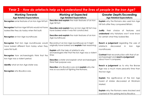| <b>Working Towards</b><br><b>Age Related Expectations</b>                                                                                                                                                   | <b>Working at Expected</b><br><b>Age Related Expectations</b>                                                                                                                                                           | <b>Greater Depth/Exceeding</b><br><b>Age Related Expectations</b>                                                                                                                                             |
|-------------------------------------------------------------------------------------------------------------------------------------------------------------------------------------------------------------|-------------------------------------------------------------------------------------------------------------------------------------------------------------------------------------------------------------------------|---------------------------------------------------------------------------------------------------------------------------------------------------------------------------------------------------------------|
| Recognise some features of an Iron Age hill fort;                                                                                                                                                           | Describe and explain the main features of an Iron<br>Age hill fort;                                                                                                                                                     | <b>Explain</b> why the Romans also used Iron Age<br>hill forts after they conquered Britain;                                                                                                                  |
| <b>Recognise</b> that Iron Age hill forts would not have<br>looked like they do today when first built;                                                                                                     | <b>Describe and explain</b> how an Iron Age hill fort may<br>have looked when it was first constructed;                                                                                                                 | Justify<br>their choice of features<br>and                                                                                                                                                                    |
| Recognise an Iron Age roundhouse;                                                                                                                                                                           | Describe and explain the main features of an Iron<br>Age roundhouse;                                                                                                                                                    | <b>understand</b> why historians won't ever know<br>for certain what they looked like;                                                                                                                        |
| <b>Recognise</b> that Iron Age roundhouses would<br>have looked different from today when they<br>were first built;<br><b>Recognise</b> how archaeologists think that the<br>Iron Age was a violent period; | Reconstruct an Iron Age roundhouse as it might<br>originally have looked and explain their reasoning;<br><b>Explain</b> with the help of artefacts why<br>archaeologists infer that the Iron Age was a violent<br>time; | <b>Reach a judgement</b> regarding the uses of<br>artefacts<br>discovered<br>in<br>Iron<br>Age<br>roundhouses;<br><b>Contrast</b> their reconstruction with that of an<br>archaeologist and reach a judgement |
| <b>Identify</b> what an Iron Age stater was;                                                                                                                                                                | <b>Describe</b> a stater and explain what archaeologists<br>think their purpose was;<br><b>Describe</b> who Boudica was and <b>explain</b> why she                                                                      | about how it compares;<br><b>Reach a judgement</b> as to why the Bronze<br>Age was a much more peaceful time than                                                                                             |
| Recognise who Boudica was.                                                                                                                                                                                  | was so successful at fighting the Romans.                                                                                                                                                                               | the Iron Age;                                                                                                                                                                                                 |
|                                                                                                                                                                                                             |                                                                                                                                                                                                                         | <b>Explain</b> the significance of the Iron Age<br>hoard of staters discovered at Wickham<br>Market;                                                                                                          |
|                                                                                                                                                                                                             |                                                                                                                                                                                                                         | <b>Explain</b> why the Romans were shocked and<br>surprised at the uprising led by Boudica.                                                                                                                   |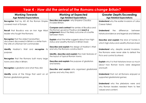| <b>Year 4 - How did the arrival of the Romans change Britain?</b>                                                                      |                                                                                                                                                                                             |                                                                                                                              |  |
|----------------------------------------------------------------------------------------------------------------------------------------|---------------------------------------------------------------------------------------------------------------------------------------------------------------------------------------------|------------------------------------------------------------------------------------------------------------------------------|--|
| <b>Working Towards</b><br><b>Age Related Expectations</b>                                                                              | <b>Working at Expected</b><br><b>Age Related Expectations</b>                                                                                                                               | <b>Greater Depth/Exceeding</b><br><b>Age Related Expectations</b>                                                            |  |
| <b>Recognise</b> that by AD 43 the Roman Empire<br>covered most of Europe;                                                             | <b>Describe and explain</b> why Emperor Claudius<br>invaded Britain;                                                                                                                        | <b>Understand</b> why the earlier invasions of Julius<br>Caesar failed;                                                      |  |
| <b>Recall</b> that Boudica was an Iron Age tribal<br>leader who fought the Romans;                                                     | <b>Compare and contrast</b> the armies of Boudica and<br>the Roman governor Paulinus and reach a<br>judgement about the likely outcome of a battle<br>between them;                         | <b>Understand</b><br>difference<br>the<br>between<br>historical evidence and legends and folklore;                           |  |
| <b>Recognise</b> that the oldest handwritten<br>document discovered in Britain is a letter from<br>the wife of a Roman fort commander; | Explain what the letter suggests about how high-<br>status and wealthy Romans in Britain lived;                                                                                             | <b>Describe and explain</b> the kind of homes in<br>which high-status and wealthy Romans lived;                              |  |
| Identify Hadrian's Wall and recognise<br>its.<br>purpose;                                                                              | <b>Describe and explain</b> the design of Hadrian's Wall<br>and why the Romans constructed it;<br>Identify, describe and explain the main features of<br>the layout of typical Roman towns; | <b>Understand</b> why, despite several invasions,<br>the Romans were never able to defeat the<br>Picts and control Scotland; |  |
| <b>Recognise</b> that the Romans built many large<br>towns and cities in Britain;                                                      | <b>Describe and explain</b> the purpose of gladiators<br>and lanista;                                                                                                                       | <b>Explain</b> why it is that historians know so much<br>about how Roman towns were designed                                 |  |
| <b>Recognise</b> a gladiator and what they did;<br><b>Identify</b> some of the things that went on at<br>Roman gladiatorial games.     | Describe and explain who organised gladiatorial<br>games and why they did it.                                                                                                               | and built;<br><b>Understand</b> that not all Romans enjoyed or<br>supported gladiatorial games;                              |  |
|                                                                                                                                        |                                                                                                                                                                                             | <b>Understand</b> who the plebeians were and<br>why Roman leaders needed them to feel<br>valued and content.                 |  |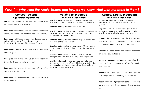## **Year 4 –** *Who were the Anglo Saxons and how do we know what was important to them?*

| <b>Working Towards</b><br><b>Age Related Expectations</b>                                                                                                            | <b>Working at Expected</b><br><b>Age Related Expectations</b>                                                                                                                                                                                | <b>Greater Depth/Exceeding</b><br><b>Age Related Expectations</b>                                                                               |
|----------------------------------------------------------------------------------------------------------------------------------------------------------------------|----------------------------------------------------------------------------------------------------------------------------------------------------------------------------------------------------------------------------------------------|-------------------------------------------------------------------------------------------------------------------------------------------------|
| Identify the difference between a primary and<br>secondary source of evidence;                                                                                       | Describe and explain what occurred in AD 410 and<br>how it contributed to the Romans abandoning Britain;                                                                                                                                     | <b>Understand</b> what the term empire means and<br>why the Roman Empire was very difficult to<br>govern;                                       |
| <b>Recognise</b> that Honorius, the last Roman Emperor of<br>Britain, was faced with a difficult decision in AD 410;                                                 | Describe and explain the difficulty he had;<br><b>Describe and explain</b> why Anglo-Saxon settlers chose to<br>live in rural villages rather than the towns and cities<br>abandoned by the Romans;                                          | <b>Empathise</b> with Emperor Honorius and make a<br>judgement about why the Romans left Britain<br>and the emotions the Emperor may have felt; |
| <b>Recognise</b> that tribes of people from Europe known<br>collectively as Anglo-Saxons began to settle in<br>Britain towards the end of the Roman Empire;          | <b>Describe and explain</b> some of the religious beliefs and<br>practices of the Anglo Saxons;                                                                                                                                              | <b>Evaluate</b> the advantages and disadvantages of<br>the Anglo Saxons choosing to live in the<br>countryside rather than in towns and cities; |
| <b>Recognise</b> that Anglo Saxon tribes worshipped many<br>different gods;                                                                                          | <b>Describe and explain</b> why the people of Britain began<br>converting to Christianity after the visit of Augustine in<br>596;<br>Describe and explain some of the most important<br>changes that occurred to buildings and ways of life; | <b>Explain</b> why these beliefs and religious practices<br>are called pagan today;                                                             |
| <b>Recognise</b> that during Anglo Saxon times people in<br>Britain slowly converted to Christianity;<br><b>Recognise</b> that ways of life changed in Britain after | <b>Identify and describe</b> the most important artefacts<br>discovered in the Anglo Saxon ship burial at Sutton Hoo<br>and explain what they suggest about the identity and<br>life of the person buried in it.                             | Make a reasoned judgement regarding the<br>message Augustine carried from Pope Gregory to<br>King Ethelbert;                                    |
| conversion to Christianity;<br><b>Recognise</b> that a very important person was buried                                                                              |                                                                                                                                                                                                                                              | Evaluate the advantages and disadvantages for<br>ordinary people of converting to Christianity;                                                 |
| at Sutton Hoo.                                                                                                                                                       |                                                                                                                                                                                                                                              | Reach an informed judgement as to how the ship<br>burial might have been designed and carried<br>out.                                           |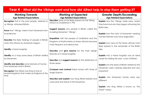| <b>Working Towards</b><br><b>Age Related Expectations</b>                                       | <b>Working at Expected</b><br><b>Age Related Expectations</b>                                                                               | <b>Greater Depth/Exceeding</b><br><b>Age Related Expectations</b>                                   |
|-------------------------------------------------------------------------------------------------|---------------------------------------------------------------------------------------------------------------------------------------------|-----------------------------------------------------------------------------------------------------|
| <b>Recognise</b> that in the past people, referred to<br>as Vikings, attacked Britain;          | <b>Describe</b> some of the likely reasons for the Viking<br>attack on Lindisfarne in 793;                                                  | <b>Explain</b> who the 'Vikings' really were, where<br>they lived and why they began attacking the  |
| <b>Know</b> that 'Vikings' were in fact Norsemen from<br>Scandinavia;                           | Suggest reasons why people in Britain called the<br>invading Norsemen 'Vikings';                                                            | <b>British Isles:</b><br><b>Explain</b> how the myth of Norsemen wearing                            |
| Describe the likely feelings of people in Britain<br>when the attacks by Norsemen began;        | <b>Empathise</b> with the people of Lindisfarne and the<br>Kingdom of Northumbria as Norse attacks became<br>more frequent and destructive; | horned helmets may have originated;<br><b>Explain</b> how news of the Norse attacks most            |
| <b>Identify</b> a Norse longship;                                                               | Describe and give reasons for the main design                                                                                               | likely spread to the remainder of the British<br>Isles;                                             |
| Identify on a map some areas of Britain settled<br>by Norsemen;                                 | features of a Norse longship;<br><b>Describe</b> and <b>suggest reasons</b> for the distribution of                                         | <b>Explain</b> why a Norse longship was an ideal<br>vessel for raiding the east coast of Britain;   |
| <b>Identify and describe</b> some features of homes<br>that Norsemen built in Britain;          | those areas;                                                                                                                                | <b>Explain</b> why the areas of Britain settled by the<br>Norsemen were carefully selected and very |
| <b>Recognise</b> that Alfred was King of one of<br>several kingdoms that made up England at the | Compare and contrast these homes with those of<br>Anglo-Saxons;                                                                             | important;                                                                                          |
| time.                                                                                           | <b>Describe and explain</b> how King Alfred resisted and<br>overcame the threat of the Norsemen.                                            | <b>Explain</b> why Norsemen homes were very<br>different;                                           |
|                                                                                                 |                                                                                                                                             | <b>Explain</b> why King Alfred is known as 'the<br>Great' today.                                    |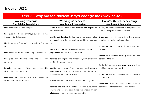# **Enquiry: UKS2**

| <b>Year 5 - Why did the ancient Maya change their way of life?</b> |                                                               |                                                                   |
|--------------------------------------------------------------------|---------------------------------------------------------------|-------------------------------------------------------------------|
| <b>Working Towards</b><br><b>Age Related Expectations</b>          | <b>Working at Expected</b><br><b>Age Related Expectations</b> | <b>Greater Depth/Exceeding</b><br><b>Age Related Expectations</b> |
| Recognise modern Maya people;                                      | Locate Central America and describe and explain its           | <b>Identify</b> the countries in which Maya people live           |
|                                                                    | natural features;                                             | today and <b>explain</b> their occupations;                       |
| <b>Recognise</b> that the ancient Maya built cities in the         |                                                               |                                                                   |
| jungles of Central America;                                        | Identify and describe the features of the ancient cities      | <b>Understand</b> why it is very unlikely that ordinary           |
|                                                                    | and explain why they lay undiscovered for a thousand          | people ever lived in the jungle cities;                           |
| <b>Identify</b> features of the ancient Maya city of Chichen       | years;                                                        |                                                                   |
| Itza;                                                              |                                                               | <b>Understand</b> the concepts of monument and                    |
|                                                                    | Describe and explain features of the city and reach a         | ceremony;                                                         |
| <b>Recognise</b> how ancient Maya people grew food;                | judgement about what its purpose was;                         |                                                                   |
|                                                                    |                                                               | <b>Explain</b> how terraced farming protected and                 |
| Recognise and describe some ancient Maya                           | Describe and explain the terraced system of farming           | conserved the soil;                                               |
| artefacts;                                                         | used by the ancient Maya;                                     |                                                                   |
|                                                                    |                                                               | Justify their decisions and understand why their                  |
| <b>Describe</b> how ancient Maya people probably                   | Identify the purpose of each artefact and reach a             | decisions may be misjudged;                                       |
| played the game pok-a-tok;                                         | judgement about what they suggest about the day to            |                                                                   |
|                                                                    | day life of ordinary Maya people;                             | <b>Understand</b> the social and religious significance           |
| <b>Recognise</b> that the ancient Maya eventually                  |                                                               | of pok-a-tok;                                                     |
| abandoned their jungle cities.                                     | <b>Explain</b> why pok-a-tok was much more than a game;       |                                                                   |
|                                                                    |                                                               | <b>Understand</b> why the<br>likely cause was a                   |
|                                                                    | Describe and explain the different theories surrounding       | combination of reasons rather than just one.                      |
|                                                                    | why the ancient Maya abandoned their cities and reach         |                                                                   |
|                                                                    | a judgement about which is most probable.                     |                                                                   |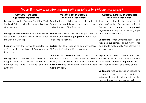| Year 5 – Why was winning the Battle of Britain in 1940 so important?                                                                       |                                                                                                                                                             |                                                                                                                                                                                               |
|--------------------------------------------------------------------------------------------------------------------------------------------|-------------------------------------------------------------------------------------------------------------------------------------------------------------|-----------------------------------------------------------------------------------------------------------------------------------------------------------------------------------------------|
| <b>Working Towards</b><br><b>Age Related Expectations</b>                                                                                  | <b>Working at Expected</b><br><b>Age Related Expectations</b>                                                                                               | <b>Greater Depth/Exceeding</b><br><b>Age Related Expectations</b>                                                                                                                             |
| <b>Recognise</b> that the Battle of Dunkirk in 1940<br>involved British and Allied troops fighting<br>Nazi Germany;                        | <b>Describe</b> the events leading up to the Battle of<br>Dunkirk and explain what happened during<br>and at the end of the fighting;                       | Read and listen to the speeches of<br>Winston Churchill after the evacuation of<br>Dunkirk<br>and reach a judgement<br>regarding the purpose of the language                                  |
| <b>Recognise and describe</b> why there was a<br>risk of Nazi Germany invading Britain after<br>the Battle of Dunkirk;                     | <b>Explain</b> why Britain faced the possibility of<br>invasion and reach a judgement about how<br>serious the threat was;                                  | and intonation he used;<br><b>Understand</b> what propaganda is and<br>reach a judgement about why Hitler                                                                                     |
| Recognise that the Luftwaffe needed to<br>defeat the Royal Air Force if Germany was<br>to invade;                                          | <b>Explain</b> why Hitler needed to defeat the Royal<br>Air Force before launching an attack;<br><b>Describe</b> and <b>evaluate</b> the various factors    | decided to make public Nazi Germany's<br>invasion plans;<br><b>Explain</b> how Hitler, in the event of an                                                                                     |
| <b>Recognise</b> that the Battle of Britain was<br>fought during the Second World War<br>between the Royal Air Force and the<br>Luftwaffe. | which contributed to the Royal Air Force<br>winning the Battle of Britain and reach a<br>judgement as to which of these they feel were<br>most significant. | invasion, would have transported troops<br>to Britain and reach a judgement about<br>how successful this would have been;                                                                     |
|                                                                                                                                            |                                                                                                                                                             | <b>Understand</b> that assigning significance to<br>historical<br>events<br>subjective<br>is<br>$\alpha$<br><b>judgement</b> and is influenced by the<br>perspective of the person making it. |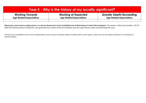| <b>Year 5 - Why is the history of my locality significant?</b> |                                 |                                 |
|----------------------------------------------------------------|---------------------------------|---------------------------------|
| <b>Working Towards</b>                                         | <b>Working at Expected</b>      | <b>Greater Depth/Exceeding</b>  |
| <b>Age Related Expectations</b>                                | <b>Age Related Expectations</b> | <b>Age Related Expectations</b> |
|                                                                |                                 |                                 |

**Mamucium, also known as Mancunium, is a former Roman fort in the Castlefield area of Manchester in North West England**. The castrum, which was founded c. AD 79 within the Roman province of Britannia, was garrisoned by a cohort of Roman Auxiliaries near two major Roman roads running through the area.

Roman fort at Castlefield in the centre of Manchester comes a piece of broken pottery inscribed with a word square, which may be the earliest evidence for Christianity in northern Britain.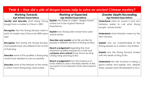| Year 6 – How did a pile of dragon bones help to solve an ancient Chinese mystery?                                                                                                                                                                                                                                  |                                                                                                                                                                                                                                                                                                                                                                                                                                                  |                                                                                                                                                                                                                                                                                                                    |
|--------------------------------------------------------------------------------------------------------------------------------------------------------------------------------------------------------------------------------------------------------------------------------------------------------------------|--------------------------------------------------------------------------------------------------------------------------------------------------------------------------------------------------------------------------------------------------------------------------------------------------------------------------------------------------------------------------------------------------------------------------------------------------|--------------------------------------------------------------------------------------------------------------------------------------------------------------------------------------------------------------------------------------------------------------------------------------------------------------------|
| <b>Working Towards</b><br><b>Age Related Expectations</b>                                                                                                                                                                                                                                                          | <b>Working at Expected</b><br><b>Age Related Expectations</b>                                                                                                                                                                                                                                                                                                                                                                                    | <b>Greater Depth/Exceeding</b><br><b>Age Related Expectations</b>                                                                                                                                                                                                                                                  |
| Identify and describe what Wang Yirong<br>bought from a market in China in 1899;                                                                                                                                                                                                                                   | <b>Explain</b> why these so called 'dragon bones'<br>turned out to be of great historical<br>importance;                                                                                                                                                                                                                                                                                                                                         | <b>Understand</b> what an oracle is and why<br>historians prefer to call what Wang<br>bought 'oracle bones';                                                                                                                                                                                                       |
| Recognise that the Shang Dynasty ruled in<br>parts of modern day China over 3000 years<br>ago;                                                                                                                                                                                                                     | <b>Explain</b> how Shang rulers would have used<br>oracle bones;                                                                                                                                                                                                                                                                                                                                                                                 | <b>Understand</b> what historians mean by the<br>term dynasty;                                                                                                                                                                                                                                                     |
| <b>Recognise</b> that during the Shang Dynasty<br>most people lived very different lives to that<br>of their king;<br><b>Describe</b> some of the qualities a Shang king<br>would have needed to rule successfully;<br><b>Describe</b> some of the features of the tombs<br>in which many Shang kings were buried. | <b>Describe and explain</b> what life was like for<br>people in different sections of Shang society;<br><b>Reach a judgement</b> regarding the most<br>important qualities required by a ruler and<br><b>compare and contrast</b> those shown by King<br>Cheng Tang and King Di Xin;<br><b>Reach a judgement</b> from the evidence of<br>tomb artefacts about the likely identity of the<br>occupant of an important tomb discovered in<br>1976. | <b>Explain</b> why our understanding of the<br>Shang people as a whole is very limited;<br><b>Explain</b> why the Shang Dynasty ended<br>with the death of King Di Xin;<br><b>Understand</b> the risks involved in being a<br>grave robber and explain why, despite<br>these, people were still prepared to do it. |
|                                                                                                                                                                                                                                                                                                                    |                                                                                                                                                                                                                                                                                                                                                                                                                                                  |                                                                                                                                                                                                                                                                                                                    |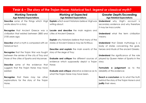| Year 6 – The story of the Trojan Horse: historical fact, legend or classical myth? |                                                               |                                                                   |
|------------------------------------------------------------------------------------|---------------------------------------------------------------|-------------------------------------------------------------------|
| <b>Working Towards</b><br><b>Age Related Expectations</b>                          | <b>Working at Expected</b><br><b>Age Related Expectations</b> | <b>Greater Depth/Exceeding</b><br><b>Age Related Expectations</b> |
| <b>Describe</b> some of the things which Virgil                                    | <b>Explain</b> which event historians believe Virgil was      | <b>Understand</b> why Virgil's account is                         |
| wrote about in a story;                                                            | writing about;                                                | secondary evidence and why therefore                              |
|                                                                                    |                                                               | it may be inaccurate;                                             |
| <b>Recognise</b> that Ancient Greece was a                                         | <b>Locate and describe</b> the main regions and               |                                                                   |
| civilization that existed between 2800 and                                         | cities of Ancient Greece;                                     | <b>Understand</b> what the term civilization                      |
| 2100 years ago;                                                                    |                                                               | means;                                                            |
|                                                                                    | <b>Explain</b> why historians believe that many of the        |                                                                   |
| <b>Describe</b> what a myth is compared with an                                    | stories of Ancient Greece may be fictitious;                  | <b>Understand</b> that Greek mythology is a                       |
| historical fact;                                                                   |                                                               | body of stories concerning the gods,                              |
|                                                                                    | <b>Describe and explain</b> the main events of the            | heroes and rituals of the ancient Greeks;                         |
| <b>Recognise</b> that the Trojan War was fought                                    | story of the siege of Troy;                                   |                                                                   |
| between the armies of the city of Troy and                                         |                                                               | <b>Understand</b> the significance of the role                    |
| those of the cities of Sparta and Mycenae;                                         | <b>Evaluate and critique</b> the different sources of         | played by Queen Helen of Sparta in the                            |
|                                                                                    | evidence which supposedly depict a Trojan                     | story;                                                            |
| <b>Describe</b> some of the evidence that                                          | Horse;                                                        |                                                                   |
| suggests that the Trojan Horse may have                                            |                                                               | <b>Formulate a judgement</b> as to the                            |
| existed;                                                                           | <b>Evaluate and critique</b> alterative evidence as to        | reliability of this evidence;                                     |
|                                                                                    | what the Trojan Horse may have been.                          |                                                                   |
| <b>Recognise</b> that there may<br>be other                                        |                                                               | <b>Reach a conclusion</b> as to what the truth                    |
| explanations for the story of the Trojan                                           |                                                               | behind the story of the Trojan Horse is and                       |
| Horse.                                                                             |                                                               | justify their views.                                              |
|                                                                                    |                                                               |                                                                   |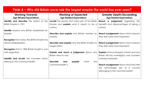| <u>Year 6 – Why did Britain once rule the largest empire the world has ever seen?</u> |                                                                         |                                                                                |
|---------------------------------------------------------------------------------------|-------------------------------------------------------------------------|--------------------------------------------------------------------------------|
| <b>Working Towards</b><br><b>Age Related Expectations</b>                             | <b>Working at Expected</b><br><b>Age Related Expectations</b>           | <b>Greater Depth/Exceeding</b><br><b>Age Related Expectations</b>              |
| Identify and describe the extent of the                                               | Locate the places that were part of the British                         | <b>Reach a judgement</b> regarding<br>the                                      |
| British Empire in 1921;                                                               | Empire and <b>explain</b> what it meant to be a<br>colony;              | benefits and disadvantages of being a<br>colony;                               |
| <b>Identify</b> reasons why Britain established an                                    |                                                                         |                                                                                |
| empire;                                                                               | <b>Describe and explain</b> why Britain wanted an<br>empire;            | <b>Reach a judgement</b> about which reasons<br>they feel were most important; |
| <b>Recognise</b> that today the British Empire has                                    |                                                                         |                                                                                |
| almost disappeared;                                                                   | <b>Describe and explain</b> why the British Empire no<br>longer exists; | <b>Reach a judgement</b> about which reasons<br>they feel were most important; |
| <b>Recognise</b> that in 1982 Britain fought a war                                    |                                                                         |                                                                                |
| with Argentina;                                                                       | Explain and reach a judgement about why                                 | <b>Explain</b> what sovereignty means and why                                  |
|                                                                                       | Britain went to war;                                                    | Britain still has sovereignty over fourteen                                    |
| <b>Identify and locate</b> the countries which                                        |                                                                         | overseas territories;                                                          |
| belong to the Commonwealth.                                                           | <b>Describe</b><br>the<br>explain<br>what<br>and                        |                                                                                |
|                                                                                       | Commonwealth is.                                                        | <b>Reach a judgement</b> about what they feel                                  |
|                                                                                       |                                                                         | advantages are of a country<br>the.<br>belonging to the Commonwealth.          |
|                                                                                       |                                                                         |                                                                                |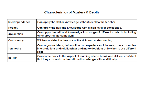## **Characteristics of Mastery & Depth**

| Interdependence | Can apply the skill or knowledge without recall to the teacher.                                                                                                      |
|-----------------|----------------------------------------------------------------------------------------------------------------------------------------------------------------------|
| <b>Fluency</b>  | Can apply the skill and knowledge with a high level of confidence.                                                                                                   |
| Application     | Can apply the skill and knowledge to a range of different contexts, including<br>other areas of the curriculum.                                                      |
| Consistency     | Will be consistent in their use of the skills and understanding                                                                                                      |
| Synthesise      | Can organise ideas, information, or experiences into new, more complex<br>interpretations and relationships and make decisions as to when to use different<br>skills |
| Re-visit        | Can come back to this aspect of learning after a break and still feel confident<br>that they can work on the skill and knowledge without difficulty.                 |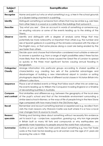| Subject<br>skill | Exemplification                                                                                                                                                    |
|------------------|--------------------------------------------------------------------------------------------------------------------------------------------------------------------|
| Recognise        | Name and point out who or what something is e.g. a tree in the school grounds                                                                                      |
|                  | or a Queen being crowned in a painting.                                                                                                                            |
| <b>Identify</b>  | Distinguish something or someone from others that may be similar e.g. oak trees                                                                                    |
|                  | from other trees in a wood or a castle from the buildings that surround it.                                                                                        |
| <b>Describe</b>  | 'Say what you see'. Give an account in words of something or someone e.g.                                                                                          |
|                  | an erupting volcano or some of the events leading up to the sinking of the                                                                                         |
|                  | Titanic.                                                                                                                                                           |
| Observe          | Identify and distinguish with a degree of analysis some things that may                                                                                            |
|                  | potentially be more noteworthy or important than others e.g. the number and                                                                                        |
|                  | size of Spanish galleons in a painting of the Armada compared with the ships of<br>the English navy, or that some places along a coast are being eroded by the     |
|                  | sea faster than others.                                                                                                                                            |
| <b>Select</b>    | Decide upon and choose that information considered most suitable or relevant                                                                                       |
|                  | to answer a question e.g. from a range of eight possibilities select three factors                                                                                 |
|                  | more likely than the others to have caused the Great Fire of London to spread                                                                                      |
|                  | so quickly or the three most significant factors causing annual flooding in                                                                                        |
|                  | Bangladesh.                                                                                                                                                        |
| Categorise/      | Arrange information into particular groups according to shared qualities or                                                                                        |
| <b>Classify</b>  | characteristics e.g. creating two sets of the potential advantages and                                                                                             |
|                  | disadvantages of building a new international airport in London or sorting                                                                                         |
|                  | photographs depicting the lives of different social classes in Victorian Britain into                                                                              |
|                  | different collections.                                                                                                                                             |
| Sequence         | Place a set of related events or things that follow each other into an order e.g.<br>the events leading up to William the Conqueror invading England or a timeline |
|                  | of devastating bushfires in Australia.                                                                                                                             |
| Compare          | Find similarities and differences e.g. between the geography of the local area                                                                                     |
| and contrast     | of the pupil's school and that of the immediate environment surrounding a                                                                                          |
|                  | similar sized school in Borneo, or the ways of life of people living in the New Stone                                                                              |
|                  | Age compared with how many lived in the Old Stone Age.                                                                                                             |
| Recall           | Remember and recount something learned or experienced e.g. recollect from                                                                                          |
|                  | visits the main reasons why Warwick Castle was built where it is or how a local                                                                                    |
|                  | river changes from its source to mouth.                                                                                                                            |
| Reason/          | Thinking and forming ideas about something without necessarily firm evidence                                                                                       |
| speculate        | yet to back it up – conjecture, supposition, guessing e.g. why Iron Age people                                                                                     |
|                  | in Britain built so many hill forts and compounds or why earthquakes are                                                                                           |
| <b>Summarise</b> | generally more hazardous to people around the world than volcanoes.<br>Outline or sum up briefly the main points about something e.g. how Fair Trade               |
|                  | works or the main factors leading up to all women over the age of 21 years old                                                                                     |
|                  | receiving the vote in 1928.                                                                                                                                        |
|                  |                                                                                                                                                                    |